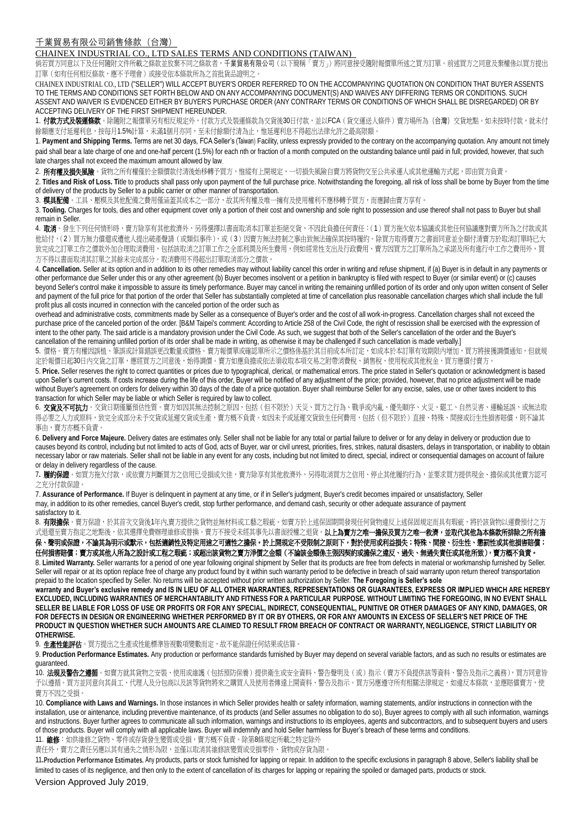## CHAINEX INDUSTRIAL CO., LTD SALES TERMS AND CONDITIONS (TAIWAN)

倘若買方同意以下及任何隨附文件所載之條款並放棄不同之條款者,千業貿易有限公司(以下簡稱「賣方」)將同意接受隨附報價單所述之買方訂單。前述買方之同意及棄權係以買方提出 訂單(如有任何相反條款,應不予理會)或接受依本條款所為之首批貨品證明之。

CHAINEX INDUSTRIAL CO., LTD ("SELLER") WILL ACCEPT BUYER'S ORDER REFERRED TO ON THE ACCOMPANYING QUOTATION ON CONDITION THAT BUYER ASSENTS TO THE TERMS AND CONDITIONS SET FORTH BELOW AND ON ANY ACCOMPANYING DOCUMENT(S) AND WAIVES ANY DIFFERING TERMS OR CONDITIONS. SUCH ASSENT AND WAIVER IS EVIDENCED EITHER BY BUYER'S PURCHASE ORDER (ANY CONTRARY TERMS OR CONDITIONS OF WHICH SHALL BE DISREGARDED) OR BY ACCEPTING DELIVERY OF THE FIRST SHIPMENT HEREUNDER.

1. **付款方式及裝運條款**。除隨附之報價單另有相反規定外,付款方式及裝運條款為交貨後30日付款,並以FCA(貨交運送人條件)賣方場所為(台灣)交貨地點。如未按時付款,就未付 餘額應支付延遲利息,按每月1.5%計算,未滿1個月亦同,至未付餘額付清為止,惟延遲利息不得超出法律允許之最高限額。

1. **Payment and Shipping Terms.** Terms are net 30 days, FCA Seller's (Taiwan) Facility, unless expressly provided to the contrary on the accompanying quotation. Any amount not timely paid shall bear a late charge of one and one-half percent (1.5%) for each nth or fraction of a month computed on the outstanding balance until paid in full; provided, however, that such late charges shall not exceed the maximum amount allowed by law.

2. 所有權及損失風險。貨物之所有權僅於全額價款付清後始移轉予買方,惟縱有上開規定,一切損失風險自賣方將貨物交至公共承運人或其他運輸方式起,即由買方負責。

2. Titles and Risk of Loss. Title to products shall pass only upon payment of the full purchase price. Notwithstanding the foregoing, all risk of loss shall be borne by Buyer from the time of delivery of the products by Seller to a public carrier or other manner of transportation.

3. 模具配備。工具、壓模及其他配備之費用僅涵蓋其成本之一部分,故其所有權及唯一擁有及使用權利不應移轉予買方,而應歸由賣方享有。

3. **Tooling.** Charges for tools, dies and other equipment cover only a portion of their cost and ownership and sole right to possession and use thereof shall not pass to Buyer but shall remain in Seller.

4. 取消。發生下列任何情形時,賣方除享有其他救濟外,另得選擇以書面取消本訂單並拒絕交貨,不因此負擔任何責任:(1)買方拖欠依本協議或其他任何協議應對賣方所為之付款或其 他給付,(2)買方無力償還或遭他人提出破產聲請(或類似事件),或(3)因賣方無法控制之事由致無法確保其按時履約。除買方取得賣方之書面同意並全額付清賣方於取消訂單時已大 致完成之訂單工作之價款外加合理取消費用,包括該取消之訂單工作之全部利潤及所生費用,例如經常性支出及行政費用、賣方因買方之訂單所為之承諾及所有進行中工作之費用外,買 方不得以書面取消其訂單之其餘未完成部分。取消費用不得超出訂單取消部分之價款

4. Cancellation. Seller at its option and in addition to its other remedies may without liability cancel this order in writing and refuse shipment, if (a) Buyer is in default in any payments or other performance due Seller under this or any other agreement (b) Buyer becomes insolvent or a petition in bankruptcy is filed with respect to Buyer (or similar event) or (c) causes beyond Seller's control make it impossible to assure its timely performance. Buyer may cancel in writing the remaining unfilled portion of its order and only upon written consent of Seller and payment of the full price for that portion of the order that Seller has substantially completed at time of cancellation plus reasonable cancellation charges which shall include the full profit plus all costs incurred in connection with the canceled portion of the order such as

overhead and administrative costs, commitments made by Seller as a consequence of Buyer's order and the cost of all work-in-progress. Cancellation charges shall not exceed the purchase price of the canceled portion of the order. [B&M Taipei's comment: According to Article 258 of the Civil Code, the right of rescission shall be exercised with the expression of intent to the other party. The said article is a mandatory provision under the Civil Code. As such, we suggest that both of the Seller's cancellation of the order and the Buyer's cancellation of the remaining unfilled portion of its order shall be made in writing, as otherwise it may be challenged if such cancellation is made verbally.]

5. 價格。賣方有權因誤植、筆誤或計算錯誤更改數量或價格。賣方報價單或確認單所示之價格係基於其目前成本所訂定,如成本於本訂單有效期限內增加,買方將接獲調價通知,但就規 定於報價日起30日內交貨之訂單,應經買方之同意後,始得調價。賣方如應負擔或依法須收取本項交易之附帶消費稅、銷售稅、使用稅或其他稅金,買方應償付賣方。

5. **Price.** Seller reserves the right to correct quantities or prices due to typographical, clerical, or mathematical errors. The price stated in Seller's quotation or acknowledgment is based upon Seller's current costs. If costs increase during the life of this order, Buyer will be notified of any adjustment of the price; provided, however, that no price adjustment will be made without Buyer's agreement on orders for delivery within 30 days of the date of a price quotation. Buyer shall reimburse Seller for any excise, sales, use or other taxes incident to this transaction for which Seller may be liable or which Seller is required by law to collect.

6. 交貨及不可抗力。交貨日期僅屬預估性質。賣方如因其無法控制之原因,包括(但不限於)天災、買方之行為、戰爭或内亂、優先順序、火災、罷工、自然災害、運輸延誤,或無法取 得必要之人力或原料,致完全或部分未予交貨或延遲交貨或生產,賣方概不負責。如因未予或延遲交貨致生任何費用,包括(但不限於)直接、特殊、間接或衍生性損害賠償,則不論其 事由,賣方亦概不負責。

6. **Delivery and Force Majeure.** Delivery dates are estimates only. Seller shall not be liable for any total or partial failure to deliver or for any delay in delivery or production due to causes beyond its control, including but not limited to acts of God, acts of Buyer, war or civil unrest, priorities, fires, strikes, natural disasters, delays in transportation, or inability to obtain necessary labor or raw materials. Seller shall not be liable in any event for any costs, including but not limited to direct, special, indirect or consequential damages on account of failure or delay in delivery regardless of the cause.

7**.** 履約保證。如買方拖欠付款,或依賣方判斷買方之信用已受損或欠佳,賣方除享有其他救濟外,另得取消買方之信用、停止其他履約行為,並要求買方提供現金、擔保或其他賣方認可 之充分付款保證。

7. **Assurance of Performance.** If Buyer is delinquent in payment at any time, or if in Seller's judgment, Buyer's credit becomes impaired or unsatisfactory, Seller may, in addition to its other remedies, cancel Buyer's credit, stop further performance, and demand cash, security or other adequate assurance of payment satisfactory to it.

8. **有限擔保**。賣方保證,於其首次交貨後1年內,賣方提供之貨物並無材料或工藝之瑕疵。如賣方於上述保固期間發現任何貨物違反上述保固規定而具有瑕疵,將於該貨物以運費預付之方 式退還至賣方指定之地點後,依其選擇免費辦理維修或替換。賣方不接受未經其事先以書面授權之退貨。**以上為賣方之唯一擔保及買方之唯一救濟,並取代其他為本條款所排除之所有擔** 

保、聲明或保證,不論其為明示或默示,包括適銷性及特定用途之可適性之擔保。於上開規定不受限制之原則下,對於使用或利益損失;特殊、間接、衍生性、懲罰性或其他損害賠償; 任何損害賠償;賣方或其他人所為之設計或工程之瑕疵;或超出該貨物之賣方淨價之金額(不論該金額係主張因契約或擔保之違反、過失、無過失責任或其他所致),賣方概不負責。

8. Limited Warranty. Seller warrants for a period of one year following original shipment by Seller that its products are free from defects in material or workmanship furnished by Seller. Seller will repair or at its option replace free of charge any product found by it within such warranty period to be defective in breach of said warranty upon return thereof transportation prepaid to the location specified by Seller. No returns will be accepted without prior written authorization by Seller. **The Foregoing is Seller's sole**

**warranty and Buyer's exclusive remedy and IS IN LIEU OF ALL OTHER WARRANTIES, REPRESENTATIONS OR GUARANTEES, EXPRESS OR IMPLIED WHICH ARE HEREBY EXCLUDED, INCLUDING WARRANTIES OF MERCHANTABILITY AND FITNESS FOR A PARTICULAR PURPOSE. WITHOUT LIMITING THE FOREGOING, IN NO EVENT SHALL SELLER BE LIABLE FOR LOSS OF USE OR PROFITS OR FOR ANY SPECIAL, INDIRECT, CONSEQUENTIAL, PUNITIVE OR OTHER DAMAGES OF ANY KIND, DAMAGES, OR FOR DEFECTS IN DESIGN OR ENGINEERING WHETHER PERFORMED BY IT OR BY OTHERS, OR FOR ANY AMOUNTS IN EXCESS OF SELLER'S NET PRICE OF THE PRODUCT IN QUESTION WHETHER SUCH AMOUNTS ARE CLAIMED TO RESULT FROM BREACH OF CONTRACT OR WARRANTY, NEGLIGENCE, STRICT LIABILITY OR OTHERWISE.**

9. 生產性能評估。買方提出之生產或性能標準皆視數項變數而定,故不能保證任何結果或估算。

9. **Production Performance Estimates.** Any production or performance standards furnished by Buyer may depend on several variable factors, and as such no results or estimates are guaranteed.

10. 法規及警告之遵循。如賣方就其貨物之安裝、使用或維護(包括預防保養)提供衛生或安全資料、警告聲明及(或)指示(賣方不負提供該等資料、警告及指示之義務),買方同意皆 予以遵循。買方並同意向其員工、代理人及分包商以及該等貨物將來之購買人及使用者傳達上開資料、警告及指示。買方另應遵守所有相關法律規定,如違反本條款,並應賠償賣方,使 賣方不因之受損。

10. **Compliance with Laws and Warnings.** In those instances in which Seller provides health or safety information, warning statements, and/or instructions in connection with the installation, use or aintenance, including preventive maintenance, of its products (and Seller assumes no obligation to do so), Buyer agrees to comply with all such information, warnings and instructions. Buyer further agrees to communicate all such information, warnings and instructions to its employees, agents and subcontractors, and to subsequent buyers and users of those products. Buyer will comply with all applicable laws. Buyer will indemnify and hold Seller harmless for Buyer's breach of these terms and conditions.

11. 维修: 如供維修之貨物、零件或存貨發生變質或受損,賣方概不負責。除第8條規定所載之特定除外

責任外,賣方之責任另應以其有過失之情形為限,並僅以取消其維修該變質或受損零件、貨物或存貨為限。

11**.Production Performance Estimates.** Any products, parts or stock furnished for lapping or repair. In addition to the specific exclusions in paragraph 8 above, Seller's liability shall be limited to cases of its negligence, and then only to the extent of cancellation of its charges for lapping or repairing the spoiled or damaged parts, products or stock.

Version Approved July 2019.